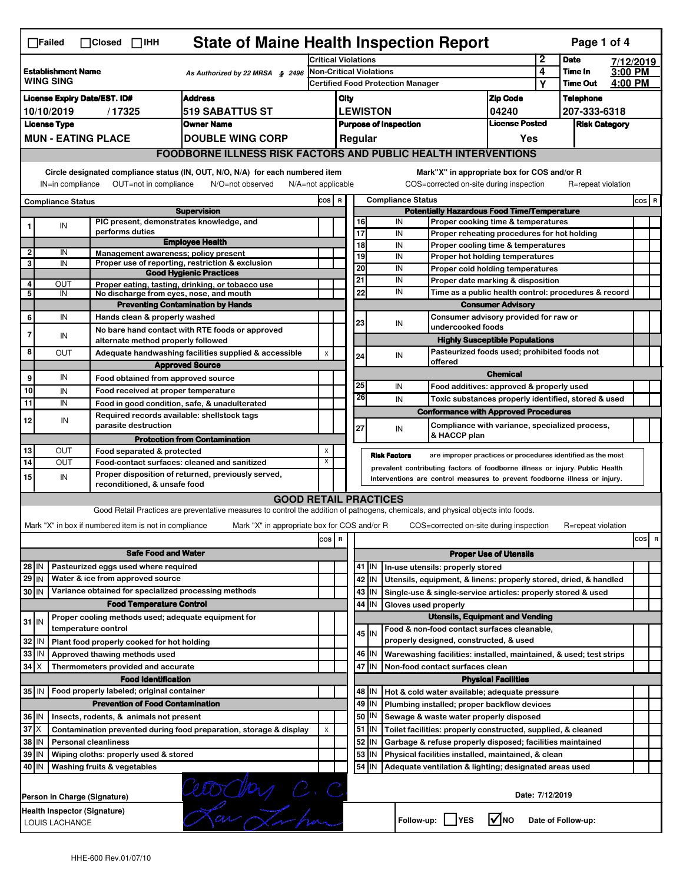|                                                                                                                                                                                                                                                                                           | <b>State of Maine Health Inspection Report</b><br>Page 1 of 4<br>$\Box$ Failed<br>$\Box$ Closed $\Box$ IHH    |  |                                                                     |                                                                                                                                   |                                                          |    |                       |         |                                                           |                                                                                               |                               |                  |                      |  |       |   |
|-------------------------------------------------------------------------------------------------------------------------------------------------------------------------------------------------------------------------------------------------------------------------------------------|---------------------------------------------------------------------------------------------------------------|--|---------------------------------------------------------------------|-----------------------------------------------------------------------------------------------------------------------------------|----------------------------------------------------------|----|-----------------------|---------|-----------------------------------------------------------|-----------------------------------------------------------------------------------------------|-------------------------------|------------------|----------------------|--|-------|---|
|                                                                                                                                                                                                                                                                                           |                                                                                                               |  |                                                                     |                                                                                                                                   | <b>Critical Violations</b>                               |    |                       |         |                                                           |                                                                                               | $\mathbf 2$                   | <b>Date</b>      | 7/12/2019            |  |       |   |
| <b>Establishment Name</b><br>As Authorized by 22 MRSA § 2496<br><b>WING SING</b>                                                                                                                                                                                                          |                                                                                                               |  | Non-Critical Violations<br><b>Certified Food Protection Manager</b> |                                                                                                                                   |                                                          |    |                       |         | 4<br>Υ                                                    | Time In<br><b>Time Out</b>                                                                    | 3:00 PM<br>4:00 PM            |                  |                      |  |       |   |
|                                                                                                                                                                                                                                                                                           |                                                                                                               |  |                                                                     |                                                                                                                                   |                                                          |    |                       |         |                                                           |                                                                                               |                               |                  |                      |  |       |   |
| <b>Address</b><br><b>License Expiry Date/EST. ID#</b>                                                                                                                                                                                                                                     |                                                                                                               |  |                                                                     |                                                                                                                                   | City                                                     |    |                       |         |                                                           | <b>Zip Code</b>                                                                               |                               | <b>Telephone</b> |                      |  |       |   |
| 10/10/2019<br>/17325<br>519 SABATTUS ST<br><b>License Type</b><br><b>Owner Name</b>                                                                                                                                                                                                       |                                                                                                               |  |                                                                     |                                                                                                                                   | <b>LEWISTON</b><br>04240<br><b>Purpose of Inspection</b> |    |                       |         | <b>License Posted</b>                                     |                                                                                               | 207-333-6318                  |                  |                      |  |       |   |
|                                                                                                                                                                                                                                                                                           |                                                                                                               |  | <b>MUN - EATING PLACE</b>                                           | <b>DOUBLE WING CORP</b>                                                                                                           |                                                          |    |                       | Regular |                                                           |                                                                                               | Yes                           |                  | <b>Risk Category</b> |  |       |   |
|                                                                                                                                                                                                                                                                                           |                                                                                                               |  |                                                                     |                                                                                                                                   |                                                          |    |                       |         |                                                           |                                                                                               |                               |                  |                      |  |       |   |
|                                                                                                                                                                                                                                                                                           | <b>FOODBORNE ILLNESS RISK FACTORS AND PUBLIC HEALTH INTERVENTIONS</b>                                         |  |                                                                     |                                                                                                                                   |                                                          |    |                       |         |                                                           |                                                                                               |                               |                  |                      |  |       |   |
| Circle designated compliance status (IN, OUT, N/O, N/A) for each numbered item<br>Mark"X" in appropriate box for COS and/or R<br>OUT=not in compliance<br>COS=corrected on-site during inspection<br>IN=in compliance<br>N/O=not observed<br>$N/A = not$ applicable<br>R=repeat violation |                                                                                                               |  |                                                                     |                                                                                                                                   |                                                          |    |                       |         |                                                           |                                                                                               |                               |                  |                      |  |       |   |
|                                                                                                                                                                                                                                                                                           | <b>Compliance Status</b>                                                                                      |  |                                                                     |                                                                                                                                   | COS R                                                    |    |                       |         | <b>Compliance Status</b>                                  |                                                                                               |                               |                  |                      |  | COS R |   |
|                                                                                                                                                                                                                                                                                           |                                                                                                               |  |                                                                     | <b>Supervision</b>                                                                                                                |                                                          |    |                       |         |                                                           | <b>Potentially Hazardous Food Time/Temperature</b>                                            |                               |                  |                      |  |       |   |
|                                                                                                                                                                                                                                                                                           | IN                                                                                                            |  | PIC present, demonstrates knowledge, and<br>performs duties         |                                                                                                                                   |                                                          |    | 16<br>$\overline{17}$ |         | IN<br>IN                                                  | Proper cooking time & temperatures<br>Proper reheating procedures for hot holding             |                               |                  |                      |  |       |   |
|                                                                                                                                                                                                                                                                                           |                                                                                                               |  |                                                                     | <b>Employee Health</b>                                                                                                            |                                                          |    | 18                    |         | IN                                                        | Proper cooling time & temperatures                                                            |                               |                  |                      |  |       |   |
| 2                                                                                                                                                                                                                                                                                         | IN                                                                                                            |  | Management awareness; policy present                                |                                                                                                                                   |                                                          |    | 19                    |         | IN                                                        | Proper hot holding temperatures                                                               |                               |                  |                      |  |       |   |
| 3                                                                                                                                                                                                                                                                                         | IN                                                                                                            |  |                                                                     | Proper use of reporting, restriction & exclusion                                                                                  |                                                          |    | 20                    |         | IN                                                        | Proper cold holding temperatures                                                              |                               |                  |                      |  |       |   |
| 4                                                                                                                                                                                                                                                                                         |                                                                                                               |  |                                                                     | <b>Good Hygienic Practices</b>                                                                                                    |                                                          |    | 21                    |         | IN                                                        |                                                                                               |                               |                  |                      |  |       |   |
| 5                                                                                                                                                                                                                                                                                         | OUT<br>IN                                                                                                     |  | No discharge from eyes, nose, and mouth                             | Proper eating, tasting, drinking, or tobacco use                                                                                  |                                                          |    | 22                    |         | IN                                                        | Proper date marking & disposition<br>Time as a public health control: procedures & record     |                               |                  |                      |  |       |   |
|                                                                                                                                                                                                                                                                                           |                                                                                                               |  |                                                                     | <b>Preventing Contamination by Hands</b>                                                                                          |                                                          |    |                       |         |                                                           |                                                                                               | <b>Consumer Advisory</b>      |                  |                      |  |       |   |
| 6                                                                                                                                                                                                                                                                                         | IN                                                                                                            |  | Hands clean & properly washed                                       |                                                                                                                                   |                                                          |    |                       |         |                                                           | Consumer advisory provided for raw or                                                         |                               |                  |                      |  |       |   |
|                                                                                                                                                                                                                                                                                           |                                                                                                               |  |                                                                     | No bare hand contact with RTE foods or approved                                                                                   |                                                          |    | 23                    |         | IN                                                        | undercooked foods                                                                             |                               |                  |                      |  |       |   |
| 7                                                                                                                                                                                                                                                                                         | IN                                                                                                            |  | alternate method properly followed                                  |                                                                                                                                   |                                                          |    |                       |         |                                                           | <b>Highly Susceptible Populations</b>                                                         |                               |                  |                      |  |       |   |
| 8                                                                                                                                                                                                                                                                                         | <b>OUT</b>                                                                                                    |  |                                                                     | Adequate handwashing facilities supplied & accessible                                                                             | X                                                        |    | 24                    |         | IN                                                        | Pasteurized foods used; prohibited foods not                                                  |                               |                  |                      |  |       |   |
|                                                                                                                                                                                                                                                                                           |                                                                                                               |  |                                                                     | <b>Approved Source</b>                                                                                                            |                                                          |    |                       |         |                                                           | offered                                                                                       | <b>Chemical</b>               |                  |                      |  |       |   |
| 9                                                                                                                                                                                                                                                                                         | IN                                                                                                            |  | Food obtained from approved source                                  |                                                                                                                                   |                                                          |    | 25                    |         | IN                                                        |                                                                                               |                               |                  |                      |  |       |   |
| 10                                                                                                                                                                                                                                                                                        | IN                                                                                                            |  | Food received at proper temperature                                 |                                                                                                                                   |                                                          |    | 26                    |         |                                                           | Food additives: approved & properly used                                                      |                               |                  |                      |  |       |   |
| 11                                                                                                                                                                                                                                                                                        | IN                                                                                                            |  |                                                                     | Food in good condition, safe, & unadulterated                                                                                     |                                                          |    |                       |         | IN                                                        | Toxic substances properly identified, stored & used                                           |                               |                  |                      |  |       |   |
| 12                                                                                                                                                                                                                                                                                        | IN                                                                                                            |  | Required records available: shellstock tags<br>parasite destruction |                                                                                                                                   |                                                          |    | 27                    |         | IN                                                        | <b>Conformance with Approved Procedures</b><br>Compliance with variance, specialized process, |                               |                  |                      |  |       |   |
|                                                                                                                                                                                                                                                                                           |                                                                                                               |  |                                                                     | <b>Protection from Contamination</b>                                                                                              |                                                          |    |                       |         |                                                           | & HACCP plan                                                                                  |                               |                  |                      |  |       |   |
| 13                                                                                                                                                                                                                                                                                        | OUT                                                                                                           |  | Food separated & protected                                          |                                                                                                                                   | X                                                        |    |                       |         | <b>Risk Factors</b>                                       | are improper practices or procedures identified as the most                                   |                               |                  |                      |  |       |   |
| 14                                                                                                                                                                                                                                                                                        | OUT                                                                                                           |  |                                                                     | Food-contact surfaces: cleaned and sanitized                                                                                      | X                                                        |    |                       |         |                                                           | prevalent contributing factors of foodborne illness or injury. Public Health                  |                               |                  |                      |  |       |   |
| 15                                                                                                                                                                                                                                                                                        | IN                                                                                                            |  | reconditioned, & unsafe food                                        | Proper disposition of returned, previously served,                                                                                |                                                          |    |                       |         |                                                           | Interventions are control measures to prevent foodborne illness or injury.                    |                               |                  |                      |  |       |   |
|                                                                                                                                                                                                                                                                                           |                                                                                                               |  |                                                                     | <b>GOOD RETAIL PRACTICES</b>                                                                                                      |                                                          |    |                       |         |                                                           |                                                                                               |                               |                  |                      |  |       |   |
|                                                                                                                                                                                                                                                                                           |                                                                                                               |  |                                                                     | Good Retail Practices are preventative measures to control the addition of pathogens, chemicals, and physical objects into foods. |                                                          |    |                       |         |                                                           |                                                                                               |                               |                  |                      |  |       |   |
|                                                                                                                                                                                                                                                                                           |                                                                                                               |  | Mark "X" in box if numbered item is not in compliance               | Mark "X" in appropriate box for COS and/or R                                                                                      |                                                          |    |                       |         |                                                           | COS=corrected on-site during inspection                                                       |                               |                  | R=repeat violation   |  |       |   |
|                                                                                                                                                                                                                                                                                           |                                                                                                               |  |                                                                     |                                                                                                                                   |                                                          | R  |                       |         |                                                           |                                                                                               |                               |                  |                      |  | cos   | R |
|                                                                                                                                                                                                                                                                                           |                                                                                                               |  |                                                                     |                                                                                                                                   | cos                                                      |    |                       |         |                                                           |                                                                                               |                               |                  |                      |  |       |   |
|                                                                                                                                                                                                                                                                                           | <b>Safe Food and Water</b>                                                                                    |  |                                                                     |                                                                                                                                   |                                                          |    |                       |         |                                                           |                                                                                               | <b>Proper Use of Utensils</b> |                  |                      |  |       |   |
| 28 IN                                                                                                                                                                                                                                                                                     |                                                                                                               |  | Pasteurized eggs used where required                                |                                                                                                                                   |                                                          |    |                       | 41   IN |                                                           | In-use utensils: properly stored                                                              |                               |                  |                      |  |       |   |
| 29 IN                                                                                                                                                                                                                                                                                     |                                                                                                               |  | Water & ice from approved source                                    |                                                                                                                                   |                                                          |    |                       | 42 IN   |                                                           | Utensils, equipment, & linens: properly stored, dried, & handled                              |                               |                  |                      |  |       |   |
| 30 IN                                                                                                                                                                                                                                                                                     |                                                                                                               |  | Variance obtained for specialized processing methods                |                                                                                                                                   |                                                          |    |                       | 43   IN |                                                           | Single-use & single-service articles: properly stored & used                                  |                               |                  |                      |  |       |   |
|                                                                                                                                                                                                                                                                                           |                                                                                                               |  | <b>Food Temperature Control</b>                                     |                                                                                                                                   |                                                          |    | 44                    | IN      | Gloves used properly                                      |                                                                                               |                               |                  |                      |  |       |   |
| $31$ IN                                                                                                                                                                                                                                                                                   |                                                                                                               |  | Proper cooling methods used; adequate equipment for                 |                                                                                                                                   |                                                          |    |                       |         |                                                           | <b>Utensils, Equipment and Vending</b>                                                        |                               |                  |                      |  |       |   |
|                                                                                                                                                                                                                                                                                           |                                                                                                               |  | temperature control                                                 |                                                                                                                                   |                                                          |    |                       | 45 IN   |                                                           | Food & non-food contact surfaces cleanable,                                                   |                               |                  |                      |  |       |   |
| 32                                                                                                                                                                                                                                                                                        | IN                                                                                                            |  | Plant food properly cooked for hot holding                          |                                                                                                                                   |                                                          |    |                       |         |                                                           | properly designed, constructed, & used                                                        |                               |                  |                      |  |       |   |
| 33                                                                                                                                                                                                                                                                                        | IN                                                                                                            |  | Approved thawing methods used                                       |                                                                                                                                   |                                                          |    |                       | 46   IN |                                                           | Warewashing facilities: installed, maintained, & used; test strips                            |                               |                  |                      |  |       |   |
| $34$ $\times$                                                                                                                                                                                                                                                                             |                                                                                                               |  | Thermometers provided and accurate                                  |                                                                                                                                   |                                                          |    | 47                    | İΙN     |                                                           | Non-food contact surfaces clean                                                               |                               |                  |                      |  |       |   |
|                                                                                                                                                                                                                                                                                           |                                                                                                               |  | <b>Food Identification</b>                                          |                                                                                                                                   |                                                          |    |                       |         |                                                           |                                                                                               | <b>Physical Facilities</b>    |                  |                      |  |       |   |
|                                                                                                                                                                                                                                                                                           | 35 IN   Food properly labeled; original container<br>48   IN<br>Hot & cold water available; adequate pressure |  |                                                                     |                                                                                                                                   |                                                          |    |                       |         |                                                           |                                                                                               |                               |                  |                      |  |       |   |
| <b>Prevention of Food Contamination</b><br>49 IN<br>Plumbing installed; proper backflow devices                                                                                                                                                                                           |                                                                                                               |  |                                                                     |                                                                                                                                   |                                                          |    |                       |         |                                                           |                                                                                               |                               |                  |                      |  |       |   |
| 50   IN<br>36 IN<br>Insects, rodents, & animals not present<br>Sewage & waste water properly disposed                                                                                                                                                                                     |                                                                                                               |  |                                                                     |                                                                                                                                   |                                                          |    |                       |         |                                                           |                                                                                               |                               |                  |                      |  |       |   |
| $37$ $\times$<br>Contamination prevented during food preparation, storage & display                                                                                                                                                                                                       |                                                                                                               |  |                                                                     |                                                                                                                                   | X                                                        |    |                       | 51   IN |                                                           | Toilet facilities: properly constructed, supplied, & cleaned                                  |                               |                  |                      |  |       |   |
| 38 IN<br><b>Personal cleanliness</b>                                                                                                                                                                                                                                                      |                                                                                                               |  |                                                                     |                                                                                                                                   |                                                          | 52 | IN                    |         | Garbage & refuse properly disposed; facilities maintained |                                                                                               |                               |                  |                      |  |       |   |
| 39 IN<br>Wiping cloths: properly used & stored                                                                                                                                                                                                                                            |                                                                                                               |  |                                                                     |                                                                                                                                   |                                                          |    | 53                    | IN      |                                                           | Physical facilities installed, maintained, & clean                                            |                               |                  |                      |  |       |   |
| 40 IN                                                                                                                                                                                                                                                                                     |                                                                                                               |  | Washing fruits & vegetables                                         |                                                                                                                                   |                                                          |    |                       | 54 IN   |                                                           | Adequate ventilation & lighting; designated areas used                                        |                               |                  |                      |  |       |   |
|                                                                                                                                                                                                                                                                                           |                                                                                                               |  | Person in Charge (Signature)                                        |                                                                                                                                   |                                                          |    |                       |         |                                                           |                                                                                               | Date: 7/12/2019               |                  |                      |  |       |   |
|                                                                                                                                                                                                                                                                                           | LOUIS LACHANCE                                                                                                |  | Health Inspector (Signature)                                        | Corday C.C.                                                                                                                       |                                                          |    |                       |         | Follow-up:                                                | <b>YES</b>                                                                                    | $\sqrt{ }$ NO                 |                  | Date of Follow-up:   |  |       |   |
|                                                                                                                                                                                                                                                                                           |                                                                                                               |  |                                                                     |                                                                                                                                   |                                                          |    |                       |         |                                                           |                                                                                               |                               |                  |                      |  |       |   |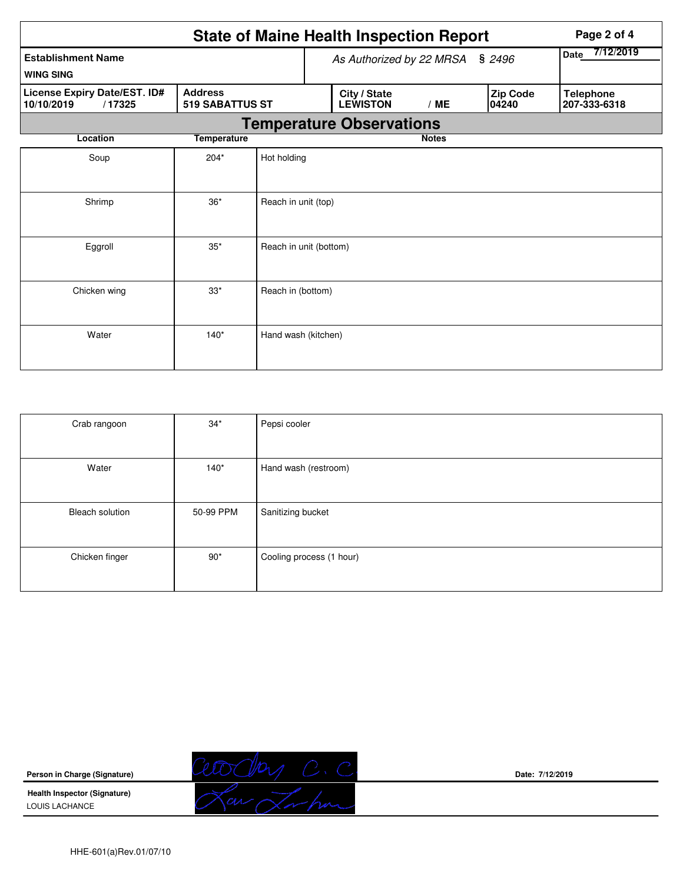|                                                                                                  |                                 |                        |  | <b>State of Maine Health Inspection Report</b> | Page 2 of 4  |                          |                   |                                  |
|--------------------------------------------------------------------------------------------------|---------------------------------|------------------------|--|------------------------------------------------|--------------|--------------------------|-------------------|----------------------------------|
| <b>Establishment Name</b>                                                                        | As Authorized by 22 MRSA § 2496 |                        |  |                                                |              | 7/12/2019<br><b>Date</b> |                   |                                  |
| <b>WING SING</b>                                                                                 |                                 |                        |  |                                                |              |                          |                   |                                  |
| <b>Address</b><br>License Expiry Date/EST. ID#<br>10/10/2019<br>/17325<br><b>519 SABATTUS ST</b> |                                 |                        |  | City / State<br><b>LEWISTON</b>                | /ME          |                          | Zip Code<br>04240 | <b>Telephone</b><br>207-333-6318 |
|                                                                                                  |                                 |                        |  | <b>Temperature Observations</b>                |              |                          |                   |                                  |
| Location                                                                                         | <b>Temperature</b>              |                        |  |                                                | <b>Notes</b> |                          |                   |                                  |
| Soup                                                                                             | $204*$                          | Hot holding            |  |                                                |              |                          |                   |                                  |
|                                                                                                  |                                 |                        |  |                                                |              |                          |                   |                                  |
| Shrimp                                                                                           | $36*$                           | Reach in unit (top)    |  |                                                |              |                          |                   |                                  |
|                                                                                                  |                                 |                        |  |                                                |              |                          |                   |                                  |
| Eggroll                                                                                          | $35*$                           | Reach in unit (bottom) |  |                                                |              |                          |                   |                                  |
|                                                                                                  |                                 |                        |  |                                                |              |                          |                   |                                  |
| Chicken wing                                                                                     | $33*$                           | Reach in (bottom)      |  |                                                |              |                          |                   |                                  |
|                                                                                                  |                                 |                        |  |                                                |              |                          |                   |                                  |
| Water                                                                                            | $140*$                          | Hand wash (kitchen)    |  |                                                |              |                          |                   |                                  |
|                                                                                                  |                                 |                        |  |                                                |              |                          |                   |                                  |

| Crab rangoon           | $34*$        | Pepsi cooler             |
|------------------------|--------------|--------------------------|
|                        |              |                          |
| Water                  | $140*$       | Hand wash (restroom)     |
|                        |              |                          |
| <b>Bleach solution</b> | 50-99 PPM    | Sanitizing bucket        |
|                        |              |                          |
| Chicken finger         | $90^{\star}$ | Cooling process (1 hour) |
|                        |              |                          |

**Person in Charge (Signature) Health Inspector (Signature)** 

LOUIS LACHANCE



**Date: 7/12/2019**

HHE-601(a)Rev.01/07/10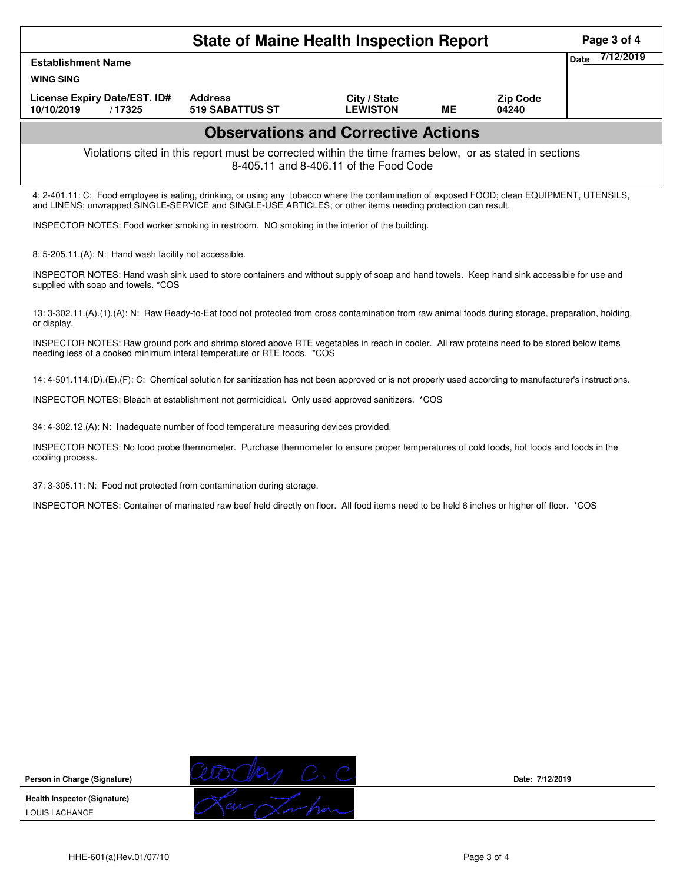|                                                                                                                                                                                                                                                            | <b>State of Maine Health Inspection Report</b>                                                           |                                        |    |                          | Page 3 of 4              |
|------------------------------------------------------------------------------------------------------------------------------------------------------------------------------------------------------------------------------------------------------------|----------------------------------------------------------------------------------------------------------|----------------------------------------|----|--------------------------|--------------------------|
| <b>Establishment Name</b><br><b>WING SING</b>                                                                                                                                                                                                              |                                                                                                          |                                        |    |                          | 7/12/2019<br><b>Date</b> |
| License Expiry Date/EST. ID#<br>10/10/2019<br>/17325                                                                                                                                                                                                       | <b>Address</b><br><b>519 SABATTUS ST</b>                                                                 | City / State<br><b>LEWISTON</b>        | ME | <b>Zip Code</b><br>04240 |                          |
|                                                                                                                                                                                                                                                            | <b>Observations and Corrective Actions</b>                                                               |                                        |    |                          |                          |
|                                                                                                                                                                                                                                                            | Violations cited in this report must be corrected within the time frames below, or as stated in sections | 8-405.11 and 8-406.11 of the Food Code |    |                          |                          |
| 4: 2-401.11: C: Food employee is eating, drinking, or using any tobacco where the contamination of exposed FOOD; clean EQUIPMENT, UTENSILS,<br>and LINENS; unwrapped SINGLE-SERVICE and SINGLE-USE ARTICLES; or other items needing protection can result. |                                                                                                          |                                        |    |                          |                          |
| INSPECTOR NOTES: Food worker smoking in restroom. NO smoking in the interior of the building.                                                                                                                                                              |                                                                                                          |                                        |    |                          |                          |
| 8: 5-205.11.(A): N: Hand wash facility not accessible.                                                                                                                                                                                                     |                                                                                                          |                                        |    |                          |                          |
| INSPECTOR NOTES: Hand wash sink used to store containers and without supply of soap and hand towels. Keep hand sink accessible for use and<br>supplied with soap and towels. *COS                                                                          |                                                                                                          |                                        |    |                          |                          |
| 13: 3-302.11.(A).(1).(A): N: Raw Ready-to-Eat food not protected from cross contamination from raw animal foods during storage, preparation, holding,<br>or display.                                                                                       |                                                                                                          |                                        |    |                          |                          |
| INSPECTOR NOTES: Raw ground pork and shrimp stored above RTE vegetables in reach in cooler. All raw proteins need to be stored below items<br>needing less of a cooked minimum interal temperature or RTE foods. *COS                                      |                                                                                                          |                                        |    |                          |                          |
| 14: 4-501.114.(D).(E).(F): C: Chemical solution for sanitization has not been approved or is not properly used according to manufacturer's instructions.                                                                                                   |                                                                                                          |                                        |    |                          |                          |
| INSPECTOR NOTES: Bleach at establishment not germicidical. Only used approved sanitizers. *COS                                                                                                                                                             |                                                                                                          |                                        |    |                          |                          |
| 34: 4-302.12.(A): N: Inadequate number of food temperature measuring devices provided.                                                                                                                                                                     |                                                                                                          |                                        |    |                          |                          |
| INSPECTOR NOTES: No food probe thermometer. Purchase thermometer to ensure proper temperatures of cold foods, hot foods and foods in the<br>cooling process.                                                                                               |                                                                                                          |                                        |    |                          |                          |
| 37: 3-305.11: N: Food not protected from contamination during storage.                                                                                                                                                                                     |                                                                                                          |                                        |    |                          |                          |
| INSPECTOR NOTES: Container of marinated raw beef held directly on floor. All food items need to be held 6 inches or higher off floor. * COS                                                                                                                |                                                                                                          |                                        |    |                          |                          |
|                                                                                                                                                                                                                                                            |                                                                                                          |                                        |    |                          |                          |
|                                                                                                                                                                                                                                                            |                                                                                                          |                                        |    |                          |                          |
|                                                                                                                                                                                                                                                            |                                                                                                          |                                        |    |                          |                          |
|                                                                                                                                                                                                                                                            |                                                                                                          |                                        |    |                          |                          |
|                                                                                                                                                                                                                                                            |                                                                                                          |                                        |    |                          |                          |
|                                                                                                                                                                                                                                                            |                                                                                                          |                                        |    |                          |                          |



**Date: 7/12/2019**